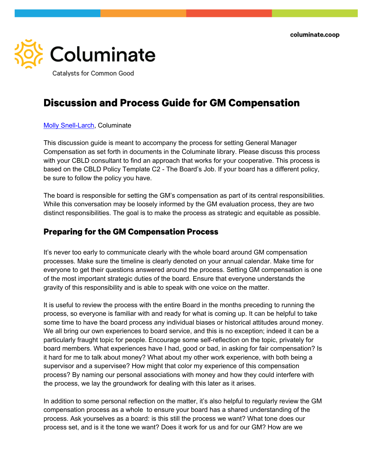

Catalysts for Common Good

# **Discussion and Process Guide for GM Compensation**

#### Molly Snell-Larch, Columinate

This discussion guide is meant to accompany the process for setting General Manager Compensation as set forth in documents in the Columinate library. Please discuss this process with your CBLD consultant to find an approach that works for your cooperative. This process is based on the CBLD Policy Template C2 - The Board's Job. If your board has a different policy, be sure to follow the policy you have.

The board is responsible for setting the GM's compensation as part of its central responsibilities. While this conversation may be loosely informed by the GM evaluation process, they are two distinct responsibilities. The goal is to make the process as strategic and equitable as possible.

#### **Preparing for the GM Compensation Process**

It's never too early to communicate clearly with the whole board around GM compensation processes. Make sure the timeline is clearly denoted on your annual calendar. Make time for everyone to get their questions answered around the process. Setting GM compensation is one of the most important strategic duties of the board. Ensure that everyone understands the gravity of this responsibility and is able to speak with one voice on the matter.

It is useful to review the process with the entire Board in the months preceding to running the process, so everyone is familiar with and ready for what is coming up. It can be helpful to take some time to have the board process any individual biases or historical attitudes around money. We all bring our own experiences to board service, and this is no exception; indeed it can be a particularly fraught topic for people. Encourage some self-reflection on the topic, privately for board members. What experiences have I had, good or bad, in asking for fair compensation? Is it hard for me to talk about money? What about my other work experience, with both being a supervisor and a supervisee? How might that color my experience of this compensation process? By naming our personal associations with money and how they could interfere with the process, we lay the groundwork for dealing with this later as it arises.

In addition to some personal reflection on the matter, it's also helpful to regularly review the GM compensation process as a whole to ensure your board has a shared understanding of the process. Ask yourselves as a board: is this still the process we want? What tone does our process set, and is it the tone we want? Does it work for us and for our GM? How are we